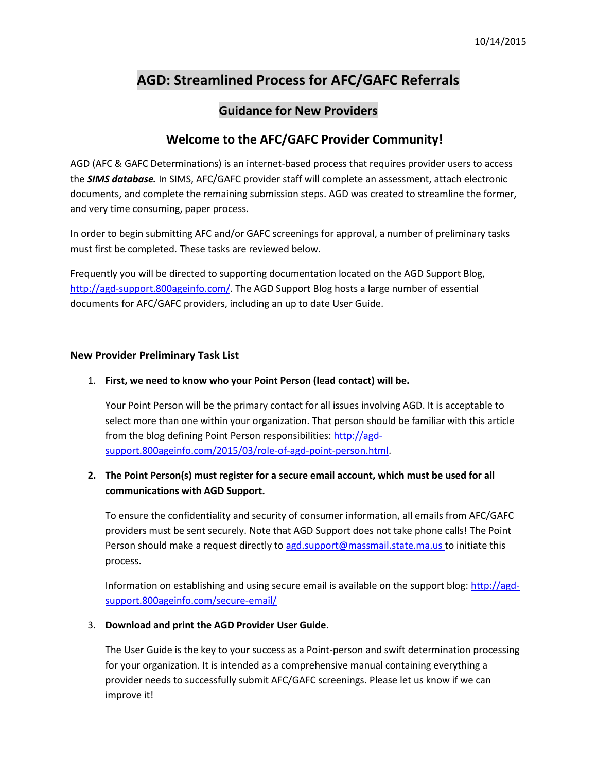# **AGD: Streamlined Process for AFC/GAFC Referrals**

# **Guidance for New Providers**

## **WWelcome to the AFC/GAFC Provider Community!**

AGD (AFC & GAFC Determinations) is an internet-based process that requires provider users to access the *SIMS database.* In SIMS, AFC/GAFC provider staff will complete an assessment, attach electronic documents, and complete the remaining submission steps. AGD was created to streamline the former, and very time consuming, paper process.

In order to begin submitting AFC and/or GAFC screenings for approval, a number of preliminary tasks must first be completed. These tasks are reviewed below.

Frequently you will be directed to supporting documentation located on the AGD Support Blog, [http://agd-support.800ageinfo.com/.](http://agd-support.800ageinfo.com/) The AGD Support Blog hosts a large number of essential documents for AFC/GAFC providers, including an up to date User Guide.

#### **New Provider Preliminary Task List**

#### 1. **First, we need to know who your Point Person (lead contact) will be.**

Your Point Person will be the primary contact for all issues involving AGD. It is acceptable to select more than one within your organization. That person should be familiar with this article from the blog defining Point Person responsibilities: [http://agd](http://agd-support.800ageinfo.com/2015/03/role-of-agd-point-person.html)[support.800ageinfo.com/2015/03/role-of-agd-point-person.html.](http://agd-support.800ageinfo.com/2015/03/role-of-agd-point-person.html)

### **2. The Point Person(s) must register for a secure email account, which must be used for all communications with AGD Support.**

To ensure the confidentiality and security of consumer information, all emails from AFC/GAFC providers must be sent securely. Note that AGD Support does not take phone calls! The Point Person should make a request directly to [agd.support@massmail.state.ma.us](mailto:agd.support@massmail.state.ma.us) to initiate this process.

Information on establishing and using secure email is available on the support blog: [http://agd](http://agd-support.800ageinfo.com/secure-email/)[support.800ageinfo.com/secure-email/](http://agd-support.800ageinfo.com/secure-email/)

#### 3. **Download and print the AGD Provider User Guide**.

The User Guide is the key to your success as a Point-person and swift determination processing for your organization. It is intended as a comprehensive manual containing everything a provider needs to successfully submit AFC/GAFC screenings. Please let us know if we can improve it!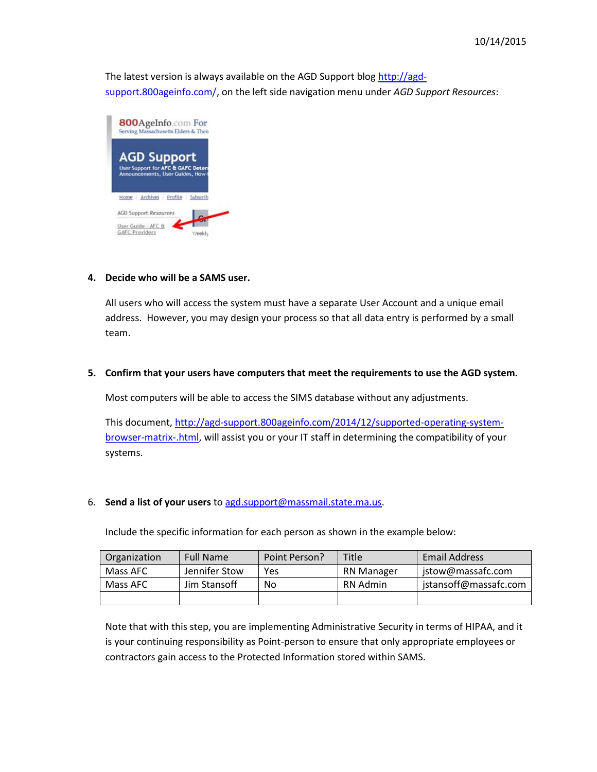The latest version is always available on the AGD Support blog [http://agd](http://agd-support.800ageinfo.com/)[support.800ageinfo.com/,](http://agd-support.800ageinfo.com/) on the left side navigation menu under *AGD Support Resources*:



#### **4. Decide who will be a SAMS user.**

All users who will access the system must have a separate User Account and a unique email address. However, you may design your process so that all data entry is performed by a small team.

#### **5. Confirm that your users have computers that meet the requirements to use the AGD system.**

Most computers will be able to access the SIMS database without any adjustments.

This document, [http://agd-support.800ageinfo.com/2014/12/supported-operating-system](http://agd-support.800ageinfo.com/2014/12/supported-operating-system-browser-matrix-.html)[browser-matrix-.html,](http://agd-support.800ageinfo.com/2014/12/supported-operating-system-browser-matrix-.html) will assist you or your IT staff in determining the compatibility of your systems.

#### 6. **Send a list of your users** to [agd.support@massmail.state.ma.us.](mailto:agd.support@massmail.state.ma.us)

Include the specific information for each person as shown in the example below:

| Organization | <b>Full Name</b> | Point Person? | <b>Title</b>      | <b>Email Address</b>  |
|--------------|------------------|---------------|-------------------|-----------------------|
| Mass AFC     | Jennifer Stow    | Yes           | <b>RN Manager</b> | jstow@massafc.com     |
| Mass AFC     | Jim Stansoff     | No            | RN Admin          | jstansoff@massafc.com |
|              |                  |               |                   |                       |

Note that with this step, you are implementing Administrative Security in terms of HIPAA, and it is your continuing responsibility as Point-person to ensure that only appropriate employees or contractors gain access to the Protected Information stored within SAMS.